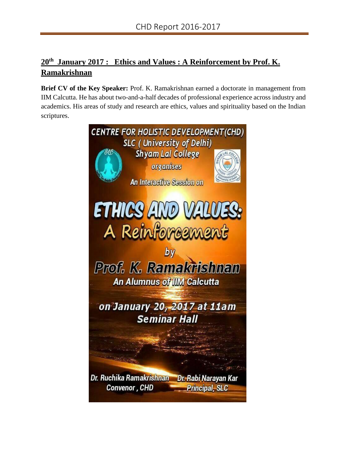## **20th January 2017 : Ethics and Values : A Reinforcement by Prof. K. Ramakrishnan**

**Brief CV of the Key Speaker:** Prof. K. Ramakrishnan earned a doctorate in management from IIM Calcutta. He has about two-and-a-half decades of professional experience across industry and academics. His areas of study and research are ethics, values and spirituality based on the Indian scriptures.